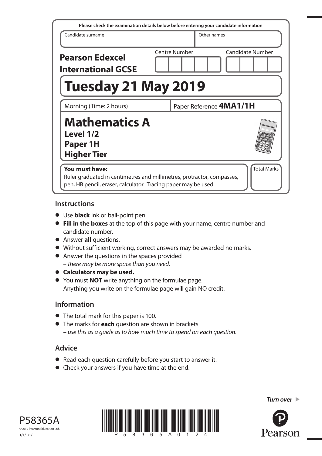| Please check the examination details below before entering your candidate information                                                                                            |                         |                         |  |  |
|----------------------------------------------------------------------------------------------------------------------------------------------------------------------------------|-------------------------|-------------------------|--|--|
| Candidate surname                                                                                                                                                                | Other names             |                         |  |  |
| <b>Pearson Edexcel</b><br><b>International GCSE</b>                                                                                                                              | Centre Number           | <b>Candidate Number</b> |  |  |
| <b>Tuesday 21 May 2019</b>                                                                                                                                                       |                         |                         |  |  |
| Morning (Time: 2 hours)                                                                                                                                                          | Paper Reference 4MA1/1H |                         |  |  |
| <b>Mathematics A</b><br>Level 1/2<br>Paper 1H<br><b>Higher Tier</b>                                                                                                              |                         |                         |  |  |
| <b>Total Marks</b><br>You must have:<br>Ruler graduated in centimetres and millimetres, protractor, compasses,<br>pen, HB pencil, eraser, calculator. Tracing paper may be used. |                         |                         |  |  |

### **Instructions**

- Use **black** ink or ball-point pen.
- **Fill in the boxes** at the top of this page with your name, centre number and candidate number.
- Answer **all** questions.
- Without sufficient working, correct answers may be awarded no marks.
- Answer the questions in the spaces provided – there may be more space than you need.
- **Calculators may be used.**
- You must **NOT** write anything on the formulae page. Anything you write on the formulae page will gain NO credit.

## **Information**

- The total mark for this paper is 100.
- The marks for **each** question are shown in brackets – use this as a guide as to how much time to spend on each question.

# **Advice**

- Read each question carefully before you start to answer it.
- Check your answers if you have time at the end.





*Turn over* 

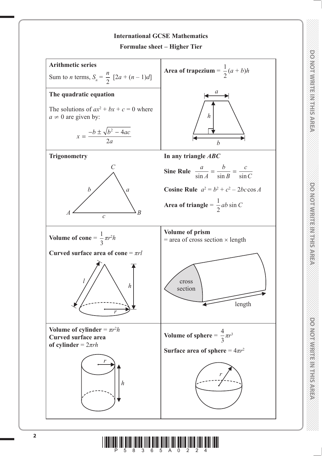

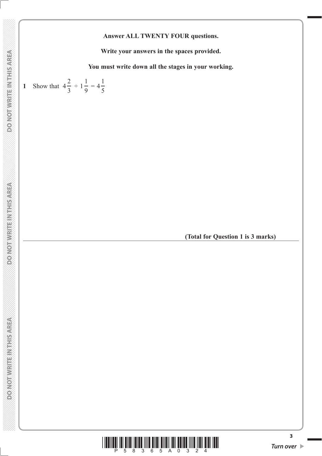### **Answer ALL TWENTY FOUR questions.**

**Write your answers in the spaces provided.**

**You must write down all the stages in your working.**



**(Total for Question 1 is 3 marks)**



**3**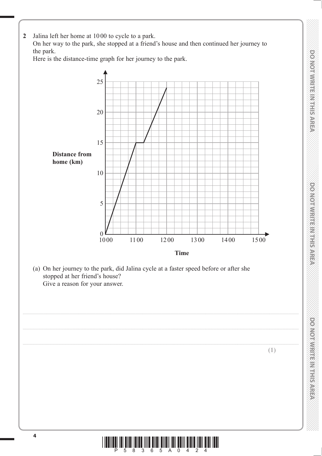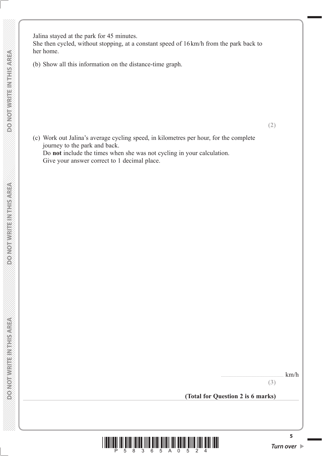She then cycled, without stopping, at a constant speed of 16 km/h from the park back to her home.

(b) Show all this information on the distance-time graph.

 (c) Work out Jalina's average cycling speed, in kilometres per hour, for the complete journey to the park and back.

 Do **not** include the times when she was not cycling in your calculation. Give your answer correct to 1 decimal place.

....................................................... km/h

**(2)**

**(3)**

**(Total for Question 2 is 6 marks)**



**5**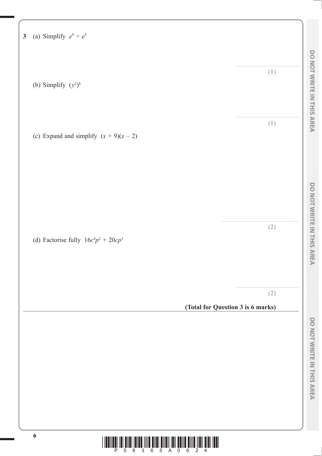| (a) Simplify $e^9 \div e^5$              |                                          |
|------------------------------------------|------------------------------------------|
| (b) Simplify $(y^2)^8$                   | (1)                                      |
| (c) Expand and simplify $(x + 9)(x - 2)$ | (1)                                      |
| (d) Factorise fully $16c^4p^2 + 20cp^3$  | (2)                                      |
|                                          | (2)<br>(Total for Question 3 is 6 marks) |
|                                          |                                          |
|                                          |                                          |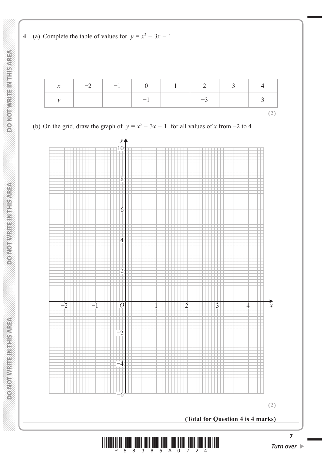

| $\mathcal{X}$ | $-2$   $-1$   0   1   2   3 |      |      |  |
|---------------|-----------------------------|------|------|--|
|               |                             | $-1$ | $-3$ |  |
|               |                             |      |      |  |

(b) On the grid, draw the graph of  $y = x^2 - 3x - 1$  for all values of x from -2 to 4

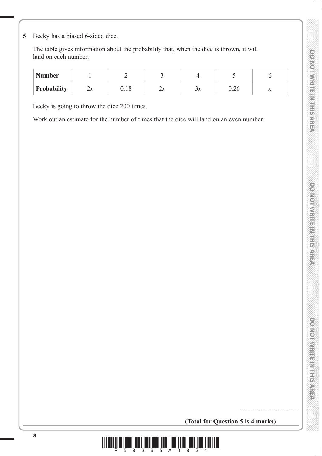DO NOTWRITE MITHIER AREA

**5** Becky has a biased 6-sided dice.

 The table gives information about the probability that, when the dice is thrown, it will land on each number.

| <b>Number</b>      |           |        |                    |              |      |   |
|--------------------|-----------|--------|--------------------|--------------|------|---|
| <b>Probability</b> | ,,,<br>∠~ | v. 1 o | $\mathbf{z}$<br>∠л | ⌒<br>.<br>Эλ | v.∠∪ | v |

Becky is going to throw the dice 200 times.

Work out an estimate for the number of times that the dice will land on an even number.

**(Total for Question 5 is 4 marks)**

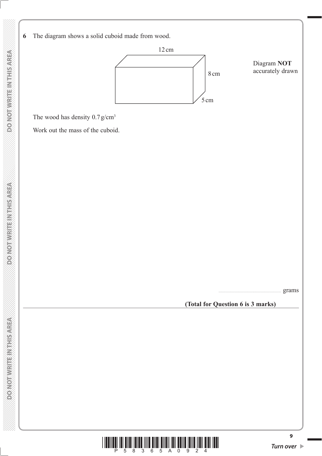

 **DO NOT WRITE IN THIS AREA DO NOT WRITE IN THIS AREA DO NOT WRITE IN THIS AREA DO NOT WRITE IN THIS AREA DO NOT WRITE IN THIS AREA DO NOT WRITE IN THIS AREA DO NOT WRITE IN THIS AREA DO NOT WRITE IN THIS AREA DO NOT WRITE** 

**DO NOT WRITEIN THIS AREA** 

**DOMORWIGHT MENTIONED** 

DO NOT WRITE IN THIS AREA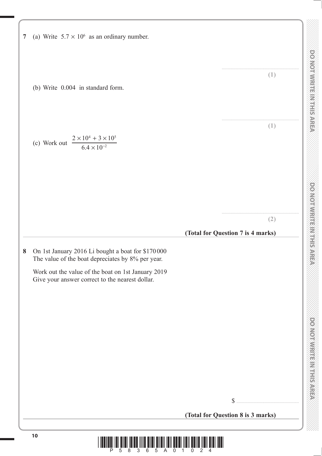|   |                                                                                                        |                                   | (1)                               |
|---|--------------------------------------------------------------------------------------------------------|-----------------------------------|-----------------------------------|
|   | (b) Write 0.004 in standard form.                                                                      |                                   |                                   |
|   | $\frac{2 \times 10^4 + 3 \times 10^5}{6.4 \times 10^{-2}}$<br>(c) Work out                             |                                   | (1)                               |
|   |                                                                                                        |                                   | (2)                               |
|   |                                                                                                        | (Total for Question 7 is 4 marks) |                                   |
| 8 | On 1st January 2016 Li bought a boat for \$170000<br>The value of the boat depreciates by 8% per year. |                                   |                                   |
|   | Work out the value of the boat on 1st January 2019<br>Give your answer correct to the nearest dollar.  |                                   |                                   |
|   |                                                                                                        |                                   |                                   |
|   |                                                                                                        |                                   |                                   |
|   |                                                                                                        |                                   |                                   |
|   |                                                                                                        | $\mathcal{S}$                     |                                   |
|   |                                                                                                        |                                   | (Total for Question 8 is 3 marks) |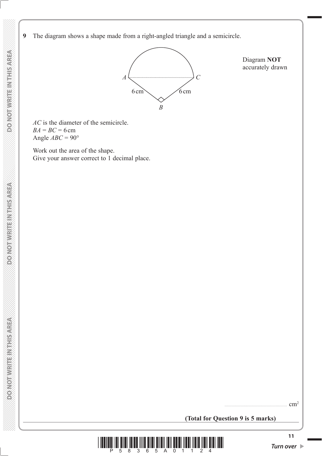**DOMOTIVRITE IN THIS AREA** 

**DONOTWRITEINTHISAREA** 

**9** The diagram shows a shape made from a right-angled triangle and a semicircle.



Diagram **NOT** accurately drawn

*AC* is the diameter of the semicircle.  $BA = BC = 6$  cm Angle  $ABC = 90^\circ$ 

 Work out the area of the shape. Give your answer correct to 1 decimal place.

**(Total for Question 9 is 5 marks)**

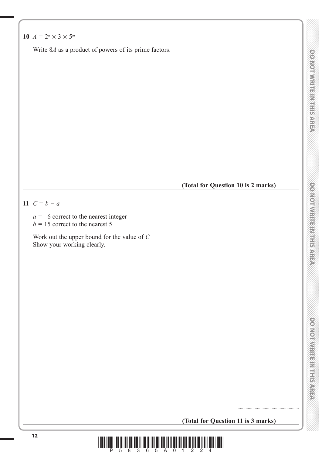Write 8*A* as a product of powers of its prime factors.

**(Total for Question 10 is 2 marks)**

.......................................................

11  $C = b - a$ 

- *a* = 6 correct to the nearest integer
- $b = 15$  correct to the nearest 5

 Work out the upper bound for the value of *C* Show your working clearly.

DONOINVERTE MILLION OF

**(Total for Question 11 is 3 marks)**

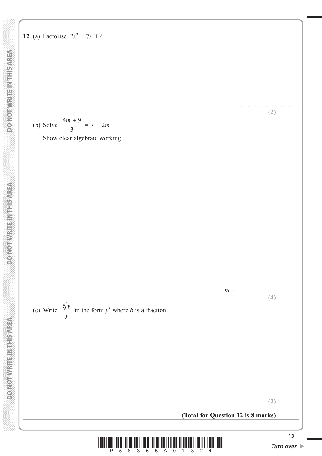(b) Solve 
$$
\frac{4m+9}{3} = 7 - 2m
$$

Show clear algebraic working.

(c) Write  $\frac{\sqrt[4]{y}}{y}$ *y*  $\frac{4}{3}y$  in the form  $y^b$  where *b* is a fraction.

**(Total for Question 12 is 8 marks)**

*m* = .......................................................

**(4)**

....................................................... **(2)**

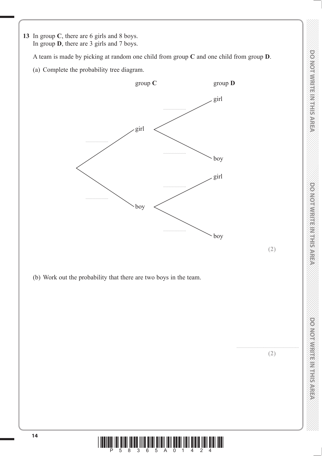**(2)**

**(2)**

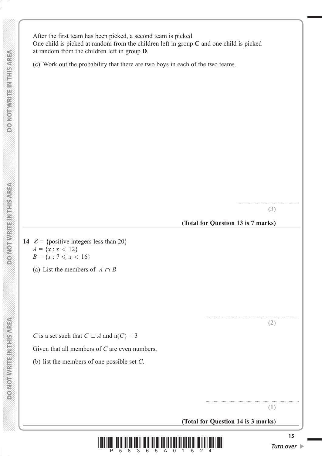After the first team has been picked, a second team is picked. One child is picked at random from the children left in group **C** and one child is picked at random from the children left in group **D**.

(c) Work out the probability that there are two boys in each of the two teams.

**(3)**

.......................................................

**(Total for Question 13 is 7 marks)**

**14**  $\mathcal{E} = \{\text{positive integers less than } 20\}$  $A = \{x : x < 12\}$  $B = \{x : 7 \leq x < 16\}$ 

(a) List the members of  $A \cap B$ 

*C* is a set such that  $C \subset A$  and  $n(C) = 3$ 

Given that all members of *C* are even numbers,

(b) list the members of one possible set *C*.

..................................................................................

**(1)**

..................................................................................

**(2)**

**(Total for Question 14 is 3 marks)**



**DO NOT WRITE INTHIS AREA** 

**DONOT WRITE INTHIS AREA**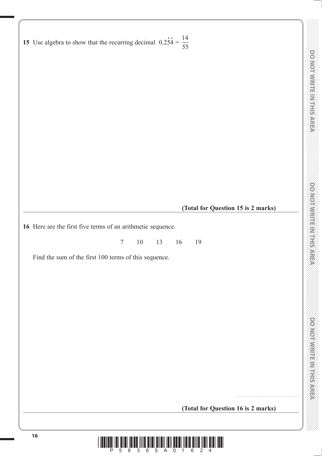**15** Use algebra to show that the recurring decimal  $0.2\dot{5}\dot{4} =$ 14 55

**(Total for Question 15 is 2 marks)**

**16** Here are the first five terms of an arithmetic sequence.

7 10 13 16 19

Find the sum of the first 100 terms of this sequence.

**(Total for Question 16 is 2 marks)**

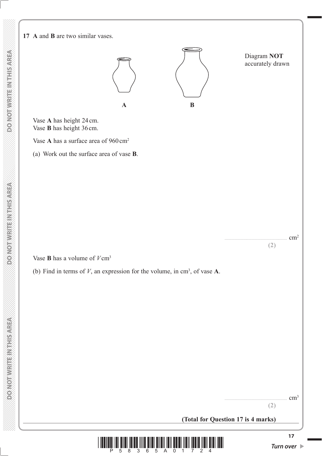**DOMOTIVRITE IN THIS AREA** 

**DOMOTHER REPAIRING** 

#### **17 A** and **B** are two similar vases.

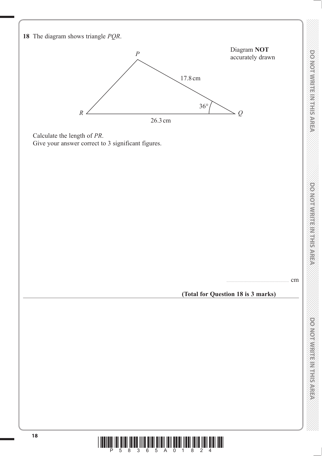

**<sup>18</sup>** \*P58365A01824\*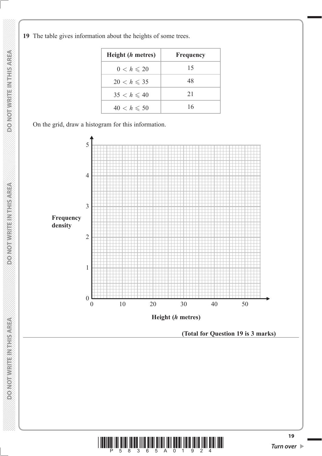**19** The table gives information about the heights of some trees.

| Height ( <i>h</i> metres) | Frequency |
|---------------------------|-----------|
| $0 < h \leqslant 20$      | 15        |
| $20 < h \leqslant 35$     | 48        |
| $35 < h \leq 40$          | 21        |
| $40 < h \leqslant 50$     | 16        |

On the grid, draw a histogram for this information.



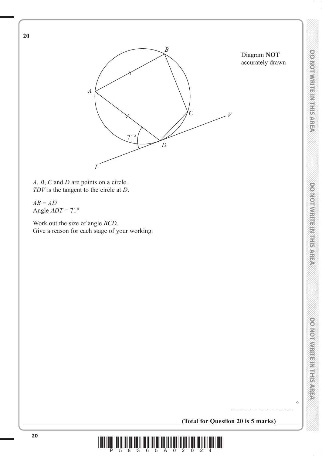$\circ$ 



*A*, *B*, *C* and *D* are points on a circle. *TDV* is the tangent to the circle at *D*.

*AB* = *AD* Angle *ADT* = 71°

**20**

 Work out the size of angle *BCD*. Give a reason for each stage of your working.

**(Total for Question 20 is 5 marks)**

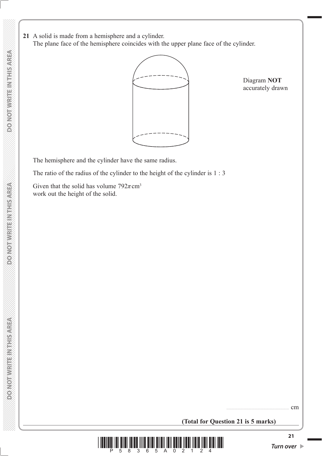**21** A solid is made from a hemisphere and a cylinder. The plane face of the hemisphere coincides with the upper plane face of the cylinder.



Diagram **NOT** accurately drawn

The hemisphere and the cylinder have the same radius.

The ratio of the radius of the cylinder to the height of the cylinder is 1 : 3

Given that the solid has volume  $792\pi$  cm<sup>3</sup> work out the height of the solid.

....................................................... cm

**(Total for Question 21 is 5 marks)**



**DO NOT WRITE INTHIS AREA**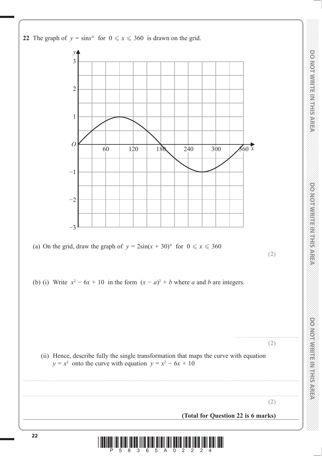

DO NOT WRITE IN THIS AREA

**THIS AREA DO NOT WRITE IN THIS AREA DO NOT WRITE IN THIS AREA DO NOT WRITE IN THIS AREA DO NOT WRITE IN THIS AREA DO NOT WRITE IN THIS AREA DO NOT WRITE IN THE INTERNATIONAL CONTINUES. DONOIWRITEIN HEAREA** 

**DONOINFILE MERICANES**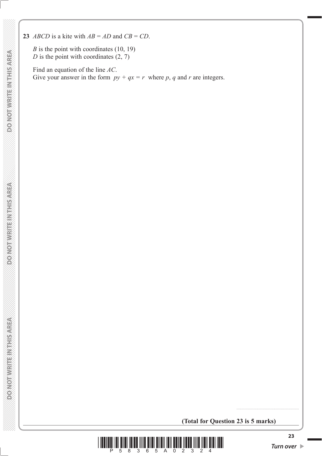**23** *ABCD* is a kite with  $AB = AD$  and  $CB = CD$ .

*B* is the point with coordinates (10, 19)  $D$  is the point with coordinates  $(2, 7)$ 

 Find an equation of the line *AC*. Give your answer in the form  $py + qx = r$  where p, q and r are integers.